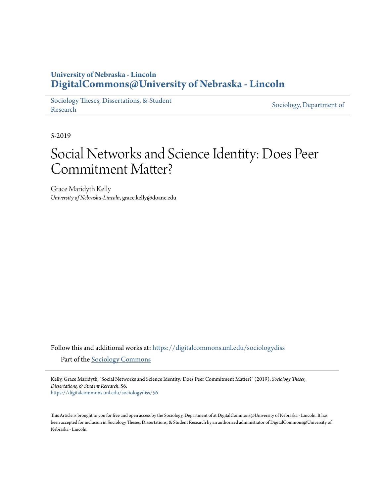# **University of Nebraska - Lincoln [DigitalCommons@University of Nebraska - Lincoln](https://digitalcommons.unl.edu?utm_source=digitalcommons.unl.edu%2Fsociologydiss%2F56&utm_medium=PDF&utm_campaign=PDFCoverPages)**

[Sociology Theses, Dissertations, & Student](https://digitalcommons.unl.edu/sociologydiss?utm_source=digitalcommons.unl.edu%2Fsociologydiss%2F56&utm_medium=PDF&utm_campaign=PDFCoverPages) [Research](https://digitalcommons.unl.edu/sociologydiss?utm_source=digitalcommons.unl.edu%2Fsociologydiss%2F56&utm_medium=PDF&utm_campaign=PDFCoverPages) [Sociology, Department of](https://digitalcommons.unl.edu/sociology?utm_source=digitalcommons.unl.edu%2Fsociologydiss%2F56&utm_medium=PDF&utm_campaign=PDFCoverPages) Research

5-2019

# Social Networks and Science Identity: Does Peer Commitment Matter?

Grace Maridyth Kelly *University of Nebraska-Lincoln*, grace.kelly@doane.edu

Follow this and additional works at: [https://digitalcommons.unl.edu/sociologydiss](https://digitalcommons.unl.edu/sociologydiss?utm_source=digitalcommons.unl.edu%2Fsociologydiss%2F56&utm_medium=PDF&utm_campaign=PDFCoverPages) Part of the [Sociology Commons](http://network.bepress.com/hgg/discipline/416?utm_source=digitalcommons.unl.edu%2Fsociologydiss%2F56&utm_medium=PDF&utm_campaign=PDFCoverPages)

Kelly, Grace Maridyth, "Social Networks and Science Identity: Does Peer Commitment Matter?" (2019). *Sociology Theses, Dissertations, & Student Research*. 56. [https://digitalcommons.unl.edu/sociologydiss/56](https://digitalcommons.unl.edu/sociologydiss/56?utm_source=digitalcommons.unl.edu%2Fsociologydiss%2F56&utm_medium=PDF&utm_campaign=PDFCoverPages)

This Article is brought to you for free and open access by the Sociology, Department of at DigitalCommons@University of Nebraska - Lincoln. It has been accepted for inclusion in Sociology Theses, Dissertations, & Student Research by an authorized administrator of DigitalCommons@University of Nebraska - Lincoln.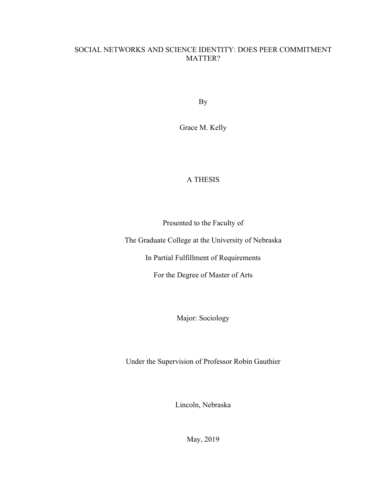## SOCIAL NETWORKS AND SCIENCE IDENTITY: DOES PEER COMMITMENT MATTER?

By

Grace M. Kelly

### A THESIS

Presented to the Faculty of

The Graduate College at the University of Nebraska

In Partial Fulfillment of Requirements

For the Degree of Master of Arts

Major: Sociology

Under the Supervision of Professor Robin Gauthier

Lincoln, Nebraska

May, 2019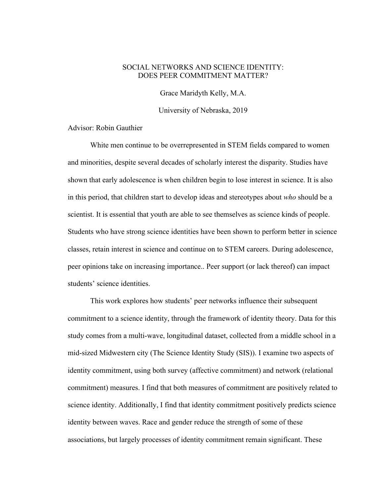#### SOCIAL NETWORKS AND SCIENCE IDENTITY: DOES PEER COMMITMENT MATTER?

Grace Maridyth Kelly, M.A.

University of Nebraska, 2019

Advisor: Robin Gauthier

White men continue to be overrepresented in STEM fields compared to women and minorities, despite several decades of scholarly interest the disparity. Studies have shown that early adolescence is when children begin to lose interest in science. It is also in this period, that children start to develop ideas and stereotypes about *who* should be a scientist. It is essential that youth are able to see themselves as science kinds of people. Students who have strong science identities have been shown to perform better in science classes, retain interest in science and continue on to STEM careers. During adolescence, peer opinions take on increasing importance.. Peer support (or lack thereof) can impact students' science identities.

This work explores how students' peer networks influence their subsequent commitment to a science identity, through the framework of identity theory. Data for this study comes from a multi-wave, longitudinal dataset, collected from a middle school in a mid-sized Midwestern city (The Science Identity Study (SIS)). I examine two aspects of identity commitment, using both survey (affective commitment) and network (relational commitment) measures. I find that both measures of commitment are positively related to science identity. Additionally, I find that identity commitment positively predicts science identity between waves. Race and gender reduce the strength of some of these associations, but largely processes of identity commitment remain significant. These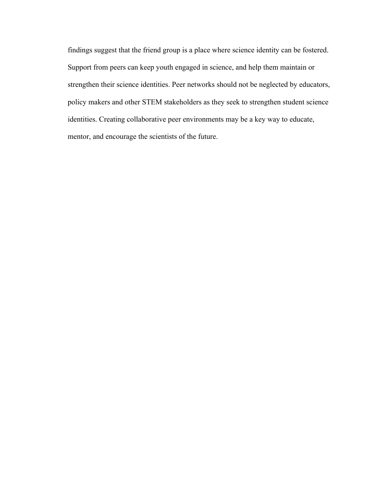findings suggest that the friend group is a place where science identity can be fostered. Support from peers can keep youth engaged in science, and help them maintain or strengthen their science identities. Peer networks should not be neglected by educators, policy makers and other STEM stakeholders as they seek to strengthen student science identities. Creating collaborative peer environments may be a key way to educate, mentor, and encourage the scientists of the future.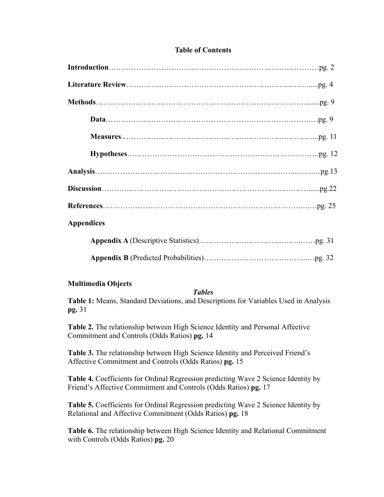#### **Table of Contents**

| <b>Appendices</b> |
|-------------------|
|                   |

**Appendix B** (Predicted Probabilities)…………………………………...…pg. 32

#### **Multimedia Objects**

#### *Tables*

**Table 1:** Means, Standard Deviations, and Descriptions for Variables Used in Analysis **pg.** 31

**Table 2.** The relationship between High Science Identity and Personal Affective Commitment and Controls (Odds Ratios) **pg.** 14

**Table 3.** The relationship between High Science Identity and Perceived Friend's Affective Commitment and Controls (Odds Ratios) **pg.** 15

**Table 4.** Coefficients for Ordinal Regression predicting Wave 2 Science Identity by Friend's Affective Commitment and Controls (Odds Ratios) **pg.** 17

**Table 5.** Coefficients for Ordinal Regression predicting Wave 2 Science Identity by Relational and Affective Commitment (Odds Ratios) **pg.** 18

**Table 6.** The relationship between High Science Identity and Relational Commitment with Controls (Odds Ratios) **pg.** 20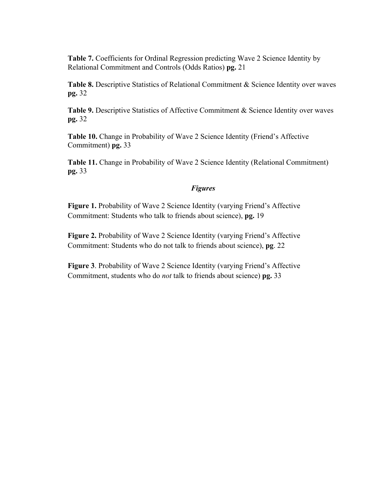**Table 7.** Coefficients for Ordinal Regression predicting Wave 2 Science Identity by Relational Commitment and Controls (Odds Ratios) **pg.** 21

Table 8. Descriptive Statistics of Relational Commitment & Science Identity over waves **pg.** 32

Table 9. Descriptive Statistics of Affective Commitment & Science Identity over waves **pg.** 32

**Table 10.** Change in Probability of Wave 2 Science Identity (Friend's Affective Commitment) **pg.** 33

**Table 11.** Change in Probability of Wave 2 Science Identity (Relational Commitment) **pg.** 33

#### *Figures*

**Figure 1.** Probability of Wave 2 Science Identity (varying Friend's Affective Commitment: Students who talk to friends about science), **pg.** 19

**Figure 2.** Probability of Wave 2 Science Identity (varying Friend's Affective Commitment: Students who do not talk to friends about science), **pg**. 22

**Figure 3**. Probability of Wave 2 Science Identity (varying Friend's Affective Commitment, students who do *not* talk to friends about science) **pg.** 33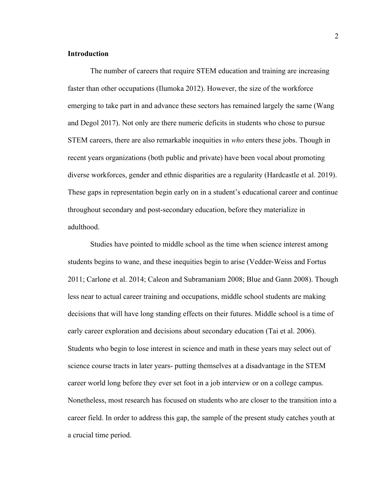#### **Introduction**

The number of careers that require STEM education and training are increasing faster than other occupations (Ilumoka 2012). However, the size of the workforce emerging to take part in and advance these sectors has remained largely the same (Wang and Degol 2017). Not only are there numeric deficits in students who chose to pursue STEM careers, there are also remarkable inequities in *who* enters these jobs. Though in recent years organizations (both public and private) have been vocal about promoting diverse workforces, gender and ethnic disparities are a regularity (Hardcastle et al. 2019). These gaps in representation begin early on in a student's educational career and continue throughout secondary and post-secondary education, before they materialize in adulthood.

Studies have pointed to middle school as the time when science interest among students begins to wane, and these inequities begin to arise (Vedder-Weiss and Fortus 2011; Carlone et al. 2014; Caleon and Subramaniam 2008; Blue and Gann 2008). Though less near to actual career training and occupations, middle school students are making decisions that will have long standing effects on their futures. Middle school is a time of early career exploration and decisions about secondary education (Tai et al. 2006). Students who begin to lose interest in science and math in these years may select out of science course tracts in later years- putting themselves at a disadvantage in the STEM career world long before they ever set foot in a job interview or on a college campus. Nonetheless, most research has focused on students who are closer to the transition into a career field. In order to address this gap, the sample of the present study catches youth at a crucial time period.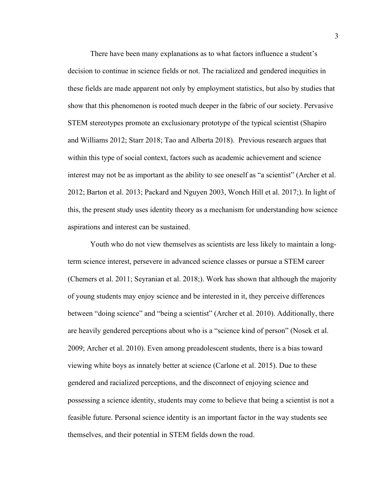There have been many explanations as to what factors influence a student's decision to continue in science fields or not. The racialized and gendered inequities in these fields are made apparent not only by employment statistics, but also by studies that show that this phenomenon is rooted much deeper in the fabric of our society. Pervasive STEM stereotypes promote an exclusionary prototype of the typical scientist (Shapiro and Williams 2012; Starr 2018; Tao and Alberta 2018). Previous research argues that within this type of social context, factors such as academic achievement and science interest may not be as important as the ability to see oneself as "a scientist" (Archer et al. 2012; Barton et al. 2013; Packard and Nguyen 2003, Wonch Hill et al. 2017;). In light of this, the present study uses identity theory as a mechanism for understanding how science aspirations and interest can be sustained.

Youth who do not view themselves as scientists are less likely to maintain a longterm science interest, persevere in advanced science classes or pursue a STEM career (Chemers et al. 2011; Seyranian et al. 2018;). Work has shown that although the majority of young students may enjoy science and be interested in it, they perceive differences between "doing science" and "being a scientist" (Archer et al. 2010). Additionally, there are heavily gendered perceptions about who is a "science kind of person" (Nosek et al. 2009; Archer et al. 2010). Even among preadolescent students, there is a bias toward viewing white boys as innately better at science (Carlone et al. 2015). Due to these gendered and racialized perceptions, and the disconnect of enjoying science and possessing a science identity, students may come to believe that being a scientist is not a feasible future. Personal science identity is an important factor in the way students see themselves, and their potential in STEM fields down the road.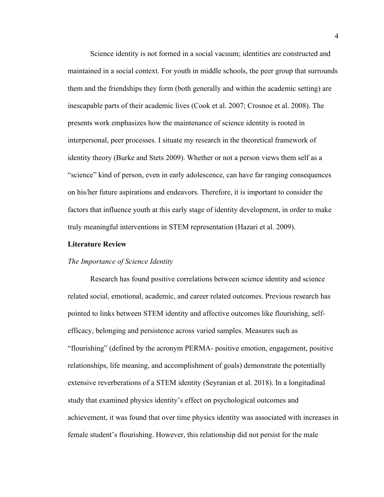Science identity is not formed in a social vacuum; identities are constructed and maintained in a social context. For youth in middle schools, the peer group that surrounds them and the friendships they form (both generally and within the academic setting) are inescapable parts of their academic lives (Cook et al. 2007; Crosnoe et al. 2008). The presents work emphasizes how the maintenance of science identity is rooted in interpersonal, peer processes. I situate my research in the theoretical framework of identity theory (Burke and Stets 2009). Whether or not a person views them self as a "science" kind of person, even in early adolescence, can have far ranging consequences on his/her future aspirations and endeavors. Therefore, it is important to consider the factors that influence youth at this early stage of identity development, in order to make truly meaningful interventions in STEM representation (Hazari et al. 2009).

#### **Literature Review**

#### *The Importance of Science Identity*

Research has found positive correlations between science identity and science related social, emotional, academic, and career related outcomes. Previous research has pointed to links between STEM identity and affective outcomes like flourishing, selfefficacy, belonging and persistence across varied samples. Measures such as "flourishing" (defined by the acronym PERMA- positive emotion, engagement, positive relationships, life meaning, and accomplishment of goals) demonstrate the potentially extensive reverberations of a STEM identity (Seyranian et al. 2018). In a longitudinal study that examined physics identity's effect on psychological outcomes and achievement, it was found that over time physics identity was associated with increases in female student's flourishing. However, this relationship did not persist for the male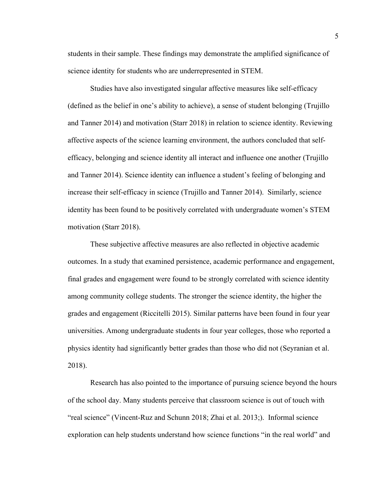students in their sample. These findings may demonstrate the amplified significance of science identity for students who are underrepresented in STEM.

Studies have also investigated singular affective measures like self-efficacy (defined as the belief in one's ability to achieve), a sense of student belonging (Trujillo and Tanner 2014) and motivation (Starr 2018) in relation to science identity. Reviewing affective aspects of the science learning environment, the authors concluded that selfefficacy, belonging and science identity all interact and influence one another (Trujillo and Tanner 2014). Science identity can influence a student's feeling of belonging and increase their self-efficacy in science (Trujillo and Tanner 2014). Similarly, science identity has been found to be positively correlated with undergraduate women's STEM motivation (Starr 2018).

These subjective affective measures are also reflected in objective academic outcomes. In a study that examined persistence, academic performance and engagement, final grades and engagement were found to be strongly correlated with science identity among community college students. The stronger the science identity, the higher the grades and engagement (Riccitelli 2015). Similar patterns have been found in four year universities. Among undergraduate students in four year colleges, those who reported a physics identity had significantly better grades than those who did not (Seyranian et al. 2018).

Research has also pointed to the importance of pursuing science beyond the hours of the school day. Many students perceive that classroom science is out of touch with "real science" (Vincent-Ruz and Schunn 2018; Zhai et al. 2013;). Informal science exploration can help students understand how science functions "in the real world" and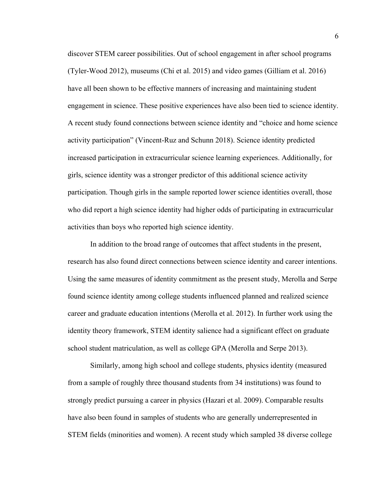discover STEM career possibilities. Out of school engagement in after school programs (Tyler-Wood 2012), museums (Chi et al. 2015) and video games (Gilliam et al. 2016) have all been shown to be effective manners of increasing and maintaining student engagement in science. These positive experiences have also been tied to science identity. A recent study found connections between science identity and "choice and home science activity participation" (Vincent-Ruz and Schunn 2018). Science identity predicted increased participation in extracurricular science learning experiences. Additionally, for girls, science identity was a stronger predictor of this additional science activity participation. Though girls in the sample reported lower science identities overall, those who did report a high science identity had higher odds of participating in extracurricular activities than boys who reported high science identity.

In addition to the broad range of outcomes that affect students in the present, research has also found direct connections between science identity and career intentions. Using the same measures of identity commitment as the present study, Merolla and Serpe found science identity among college students influenced planned and realized science career and graduate education intentions (Merolla et al. 2012). In further work using the identity theory framework, STEM identity salience had a significant effect on graduate school student matriculation, as well as college GPA (Merolla and Serpe 2013).

Similarly, among high school and college students, physics identity (measured from a sample of roughly three thousand students from 34 institutions) was found to strongly predict pursuing a career in physics (Hazari et al. 2009). Comparable results have also been found in samples of students who are generally underrepresented in STEM fields (minorities and women). A recent study which sampled 38 diverse college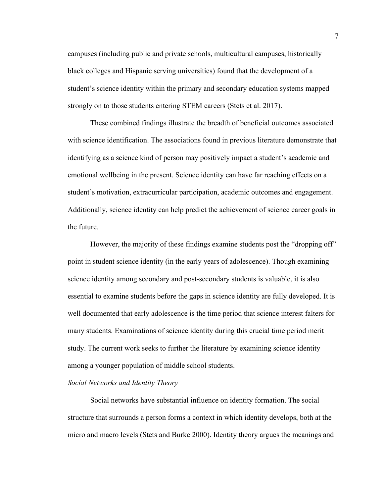campuses (including public and private schools, multicultural campuses, historically black colleges and Hispanic serving universities) found that the development of a student's science identity within the primary and secondary education systems mapped strongly on to those students entering STEM careers (Stets et al. 2017).

These combined findings illustrate the breadth of beneficial outcomes associated with science identification. The associations found in previous literature demonstrate that identifying as a science kind of person may positively impact a student's academic and emotional wellbeing in the present. Science identity can have far reaching effects on a student's motivation, extracurricular participation, academic outcomes and engagement. Additionally, science identity can help predict the achievement of science career goals in the future.

However, the majority of these findings examine students post the "dropping off" point in student science identity (in the early years of adolescence). Though examining science identity among secondary and post-secondary students is valuable, it is also essential to examine students before the gaps in science identity are fully developed. It is well documented that early adolescence is the time period that science interest falters for many students. Examinations of science identity during this crucial time period merit study. The current work seeks to further the literature by examining science identity among a younger population of middle school students.

#### *Social Networks and Identity Theory*

Social networks have substantial influence on identity formation. The social structure that surrounds a person forms a context in which identity develops, both at the micro and macro levels (Stets and Burke 2000). Identity theory argues the meanings and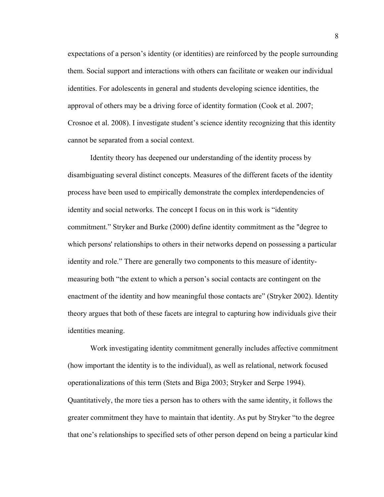expectations of a person's identity (or identities) are reinforced by the people surrounding them. Social support and interactions with others can facilitate or weaken our individual identities. For adolescents in general and students developing science identities, the approval of others may be a driving force of identity formation (Cook et al. 2007; Crosnoe et al. 2008). I investigate student's science identity recognizing that this identity cannot be separated from a social context.

Identity theory has deepened our understanding of the identity process by disambiguating several distinct concepts. Measures of the different facets of the identity process have been used to empirically demonstrate the complex interdependencies of identity and social networks. The concept I focus on in this work is "identity commitment." Stryker and Burke (2000) define identity commitment as the "degree to which persons' relationships to others in their networks depend on possessing a particular identity and role." There are generally two components to this measure of identitymeasuring both "the extent to which a person's social contacts are contingent on the enactment of the identity and how meaningful those contacts are" (Stryker 2002). Identity theory argues that both of these facets are integral to capturing how individuals give their identities meaning.

Work investigating identity commitment generally includes affective commitment (how important the identity is to the individual), as well as relational, network focused operationalizations of this term (Stets and Biga 2003; Stryker and Serpe 1994). Quantitatively, the more ties a person has to others with the same identity, it follows the greater commitment they have to maintain that identity. As put by Stryker "to the degree that one's relationships to specified sets of other person depend on being a particular kind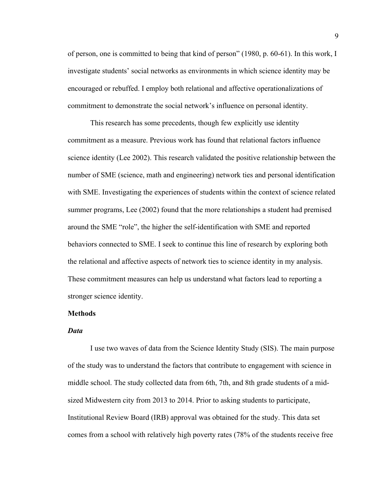of person, one is committed to being that kind of person" (1980, p. 60-61). In this work, I investigate students' social networks as environments in which science identity may be encouraged or rebuffed. I employ both relational and affective operationalizations of commitment to demonstrate the social network's influence on personal identity.

This research has some precedents, though few explicitly use identity commitment as a measure. Previous work has found that relational factors influence science identity (Lee 2002). This research validated the positive relationship between the number of SME (science, math and engineering) network ties and personal identification with SME. Investigating the experiences of students within the context of science related summer programs, Lee (2002) found that the more relationships a student had premised around the SME "role", the higher the self-identification with SME and reported behaviors connected to SME. I seek to continue this line of research by exploring both the relational and affective aspects of network ties to science identity in my analysis. These commitment measures can help us understand what factors lead to reporting a stronger science identity.

#### **Methods**

#### *Data*

I use two waves of data from the Science Identity Study (SIS). The main purpose of the study was to understand the factors that contribute to engagement with science in middle school. The study collected data from 6th, 7th, and 8th grade students of a midsized Midwestern city from 2013 to 2014. Prior to asking students to participate, Institutional Review Board (IRB) approval was obtained for the study. This data set comes from a school with relatively high poverty rates (78% of the students receive free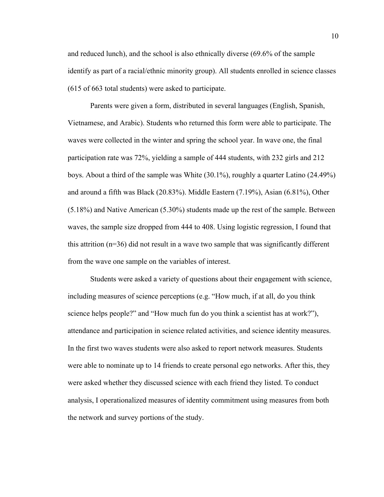and reduced lunch), and the school is also ethnically diverse (69.6% of the sample identify as part of a racial/ethnic minority group). All students enrolled in science classes (615 of 663 total students) were asked to participate.

Parents were given a form, distributed in several languages (English, Spanish, Vietnamese, and Arabic). Students who returned this form were able to participate. The waves were collected in the winter and spring the school year. In wave one, the final participation rate was 72%, yielding a sample of 444 students, with 232 girls and 212 boys. About a third of the sample was White (30.1%), roughly a quarter Latino (24.49%) and around a fifth was Black (20.83%). Middle Eastern (7.19%), Asian (6.81%), Other (5.18%) and Native American (5.30%) students made up the rest of the sample. Between waves, the sample size dropped from 444 to 408. Using logistic regression, I found that this attrition (n=36) did not result in a wave two sample that was significantly different from the wave one sample on the variables of interest.

Students were asked a variety of questions about their engagement with science, including measures of science perceptions (e.g. "How much, if at all, do you think science helps people?" and "How much fun do you think a scientist has at work?"), attendance and participation in science related activities, and science identity measures. In the first two waves students were also asked to report network measures. Students were able to nominate up to 14 friends to create personal ego networks. After this, they were asked whether they discussed science with each friend they listed. To conduct analysis, I operationalized measures of identity commitment using measures from both the network and survey portions of the study.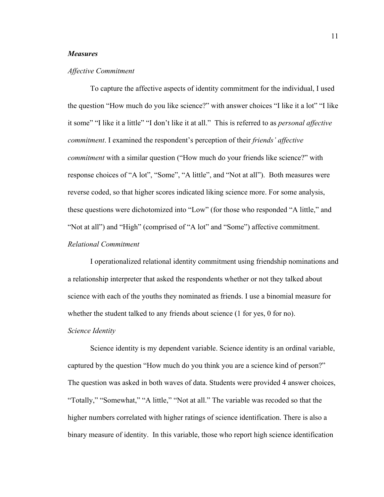#### *Measures*

#### *Affective Commitment*

To capture the affective aspects of identity commitment for the individual, I used the question "How much do you like science?" with answer choices "I like it a lot" "I like it some" "I like it a little" "I don't like it at all." This is referred to as *personal affective commitment*. I examined the respondent's perception of their *friends' affective commitment* with a similar question ("How much do your friends like science?" with response choices of "A lot", "Some", "A little", and "Not at all"). Both measures were reverse coded, so that higher scores indicated liking science more. For some analysis, these questions were dichotomized into "Low" (for those who responded "A little," and "Not at all") and "High" (comprised of "A lot" and "Some") affective commitment.

#### *Relational Commitment*

I operationalized relational identity commitment using friendship nominations and a relationship interpreter that asked the respondents whether or not they talked about science with each of the youths they nominated as friends. I use a binomial measure for whether the student talked to any friends about science (1 for yes, 0 for no). *Science Identity*

Science identity is my dependent variable. Science identity is an ordinal variable, captured by the question "How much do you think you are a science kind of person?" The question was asked in both waves of data. Students were provided 4 answer choices, "Totally," "Somewhat," "A little," "Not at all." The variable was recoded so that the higher numbers correlated with higher ratings of science identification. There is also a binary measure of identity. In this variable, those who report high science identification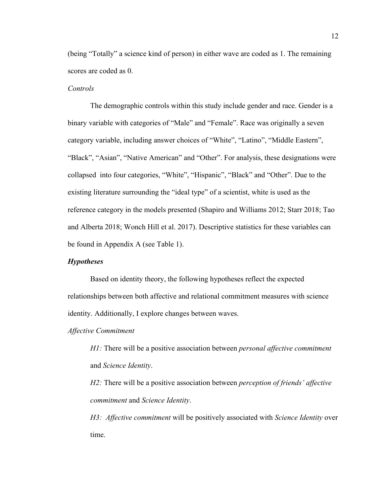(being "Totally" a science kind of person) in either wave are coded as 1. The remaining scores are coded as 0.

#### *Controls*

The demographic controls within this study include gender and race. Gender is a binary variable with categories of "Male" and "Female". Race was originally a seven category variable, including answer choices of "White", "Latino", "Middle Eastern", "Black", "Asian", "Native American" and "Other". For analysis, these designations were collapsed into four categories, "White", "Hispanic", "Black" and "Other". Due to the existing literature surrounding the "ideal type" of a scientist, white is used as the reference category in the models presented (Shapiro and Williams 2012; Starr 2018; Tao and Alberta 2018; Wonch Hill et al. 2017). Descriptive statistics for these variables can be found in Appendix A (see Table 1).

#### *Hypotheses*

Based on identity theory, the following hypotheses reflect the expected relationships between both affective and relational commitment measures with science identity. Additionally, I explore changes between waves.

*Affective Commitment* 

*H1:* There will be a positive association between *personal affective commitment* and *Science Identity*.

*H2:* There will be a positive association between *perception of friends' affective commitment* and *Science Identity*.

*H3: Affective commitment* will be positively associated with *Science Identity* over time.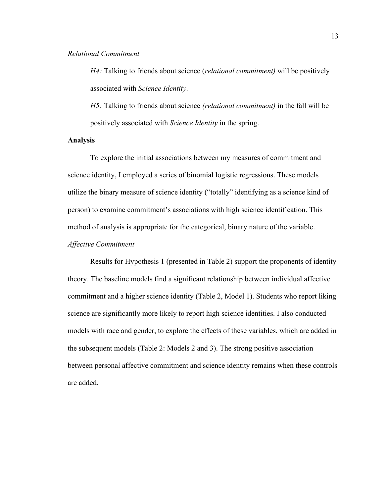#### *Relational Commitment*

*H4:* Talking to friends about science (*relational commitment)* will be positively associated with *Science Identity*.

*H5:* Talking to friends about science *(relational commitment)* in the fall will be positively associated with *Science Identity* in the spring.

#### **Analysis**

To explore the initial associations between my measures of commitment and science identity, I employed a series of binomial logistic regressions. These models utilize the binary measure of science identity ("totally" identifying as a science kind of person) to examine commitment's associations with high science identification. This method of analysis is appropriate for the categorical, binary nature of the variable.

#### *Affective Commitment*

Results for Hypothesis 1 (presented in Table 2) support the proponents of identity theory. The baseline models find a significant relationship between individual affective commitment and a higher science identity (Table 2, Model 1). Students who report liking science are significantly more likely to report high science identities. I also conducted models with race and gender, to explore the effects of these variables, which are added in the subsequent models (Table 2: Models 2 and 3). The strong positive association between personal affective commitment and science identity remains when these controls are added.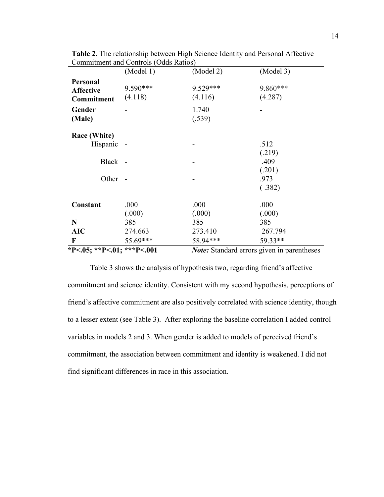|                                                   | (Model 1)           | (Model 2)           | (Model 3)                                         |
|---------------------------------------------------|---------------------|---------------------|---------------------------------------------------|
| Personal<br><b>Affective</b><br><b>Commitment</b> | 9.590***<br>(4.118) | 9.529***<br>(4.116) | 9.860***<br>(4.287)                               |
| Gender<br>(Male)                                  |                     | 1.740<br>(.539)     |                                                   |
| Race (White)<br>Hispanic                          |                     |                     | .512<br>(.219)                                    |
| Black                                             |                     |                     | .409<br>(.201)                                    |
| Other                                             |                     |                     | .973<br>(.382)                                    |
| Constant                                          | .000<br>(.000)      | .000<br>(.000)      | .000<br>(.000)                                    |
| N                                                 | 385                 | 385                 | 385                                               |
| <b>AIC</b>                                        | 274.663             | 273.410             | 267.794                                           |
| F                                                 | 55.69***            | 58.94***            | 59.33**                                           |
| *P<.05; **P<.01; ***P<.001                        |                     |                     | <b>Note:</b> Standard errors given in parentheses |

**Table 2.** The relationship between High Science Identity and Personal Affective Commitment and Controls (Odds Ratios)

Table 3 shows the analysis of hypothesis two, regarding friend's affective commitment and science identity. Consistent with my second hypothesis, perceptions of friend's affective commitment are also positively correlated with science identity, though to a lesser extent (see Table 3). After exploring the baseline correlation I added control variables in models 2 and 3. When gender is added to models of perceived friend's commitment, the association between commitment and identity is weakened. I did not find significant differences in race in this association.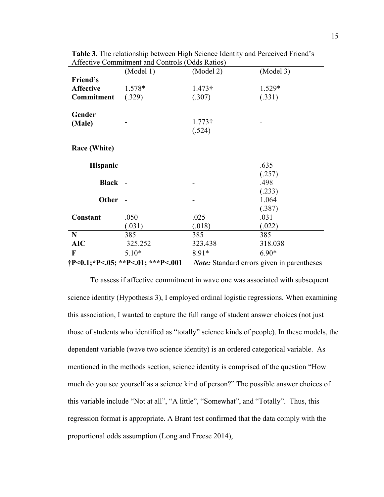|                  | (Model 1)                                            | (Model 2)      | (Model 3)                                         |
|------------------|------------------------------------------------------|----------------|---------------------------------------------------|
| Friend's         |                                                      |                |                                                   |
| <b>Affective</b> | $1.578*$                                             | $1.473\dagger$ | 1.529*                                            |
| Commitment       | (.329)                                               | (.307)         | (.331)                                            |
| Gender           |                                                      |                |                                                   |
| (Male)           |                                                      | $1.773\dagger$ |                                                   |
|                  |                                                      | (.524)         |                                                   |
| Race (White)     |                                                      |                |                                                   |
| <b>Hispanic</b>  |                                                      |                | .635                                              |
| Black -          |                                                      |                | (.257)<br>.498                                    |
| <b>Other</b>     | $\sim$                                               |                | (.233)<br>1.064<br>(.387)                         |
| Constant         | .050                                                 | .025           | .031                                              |
|                  | (.031)                                               | (.018)         | (.022)                                            |
| N                | 385                                                  | 385            | 385                                               |
| <b>AIC</b>       | 325.252                                              | 323.438        | 318.038                                           |
| $\mathbf F$      | $5.10*$                                              | $8.91*$        | $6.90*$                                           |
|                  | $\dagger P < 0.1$ ; * P<.05; * * P<.01; * * * P<.001 |                | <b>Note:</b> Standard errors given in parentheses |

**Table 3.** The relationship between High Science Identity and Perceived Friend's Affective Commitment and Controls (Odds Ratios)

To assess if affective commitment in wave one was associated with subsequent science identity (Hypothesis 3), I employed ordinal logistic regressions. When examining this association, I wanted to capture the full range of student answer choices (not just those of students who identified as "totally" science kinds of people). In these models, the dependent variable (wave two science identity) is an ordered categorical variable. As mentioned in the methods section, science identity is comprised of the question "How much do you see yourself as a science kind of person?" The possible answer choices of this variable include "Not at all", "A little", "Somewhat", and "Totally". Thus, this regression format is appropriate. A Brant test confirmed that the data comply with the proportional odds assumption (Long and Freese 2014),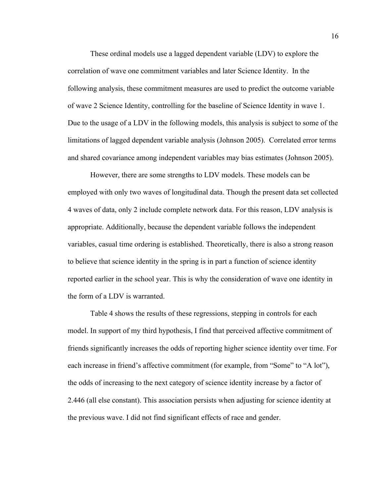These ordinal models use a lagged dependent variable (LDV) to explore the correlation of wave one commitment variables and later Science Identity. In the following analysis, these commitment measures are used to predict the outcome variable of wave 2 Science Identity, controlling for the baseline of Science Identity in wave 1. Due to the usage of a LDV in the following models, this analysis is subject to some of the limitations of lagged dependent variable analysis (Johnson 2005). Correlated error terms and shared covariance among independent variables may bias estimates (Johnson 2005).

However, there are some strengths to LDV models. These models can be employed with only two waves of longitudinal data. Though the present data set collected 4 waves of data, only 2 include complete network data. For this reason, LDV analysis is appropriate. Additionally, because the dependent variable follows the independent variables, casual time ordering is established. Theoretically, there is also a strong reason to believe that science identity in the spring is in part a function of science identity reported earlier in the school year. This is why the consideration of wave one identity in the form of a LDV is warranted.

Table 4 shows the results of these regressions, stepping in controls for each model. In support of my third hypothesis, I find that perceived affective commitment of friends significantly increases the odds of reporting higher science identity over time. For each increase in friend's affective commitment (for example, from "Some" to "A lot"), the odds of increasing to the next category of science identity increase by a factor of 2.446 (all else constant). This association persists when adjusting for science identity at the previous wave. I did not find significant effects of race and gender.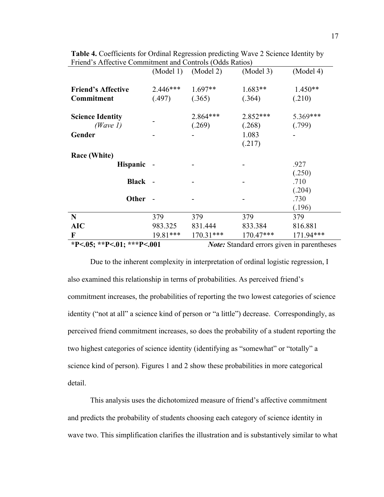|                                         |                                                   | $(Model 1)$ $(Model 2)$ | (Model 3)            | (Model 4)                |
|-----------------------------------------|---------------------------------------------------|-------------------------|----------------------|--------------------------|
| <b>Friend's Affective</b><br>Commitment | 2.446***<br>(.497)                                | $1.697**$<br>(.365)     | $1.683**$<br>(.364)  | $1.450**$<br>(.210)      |
| <b>Science Identity</b><br>(Wave 1)     |                                                   | 2.864***<br>(.269)      | $2.852***$<br>(.268) | 5.369***<br>(.799)       |
| Gender                                  |                                                   |                         | 1.083<br>(.217)      |                          |
| Race (White)<br><b>Hispanic</b>         |                                                   |                         |                      | .927                     |
| <b>Black</b>                            |                                                   |                         |                      | (.250)<br>.710<br>(.204) |
| <b>Other</b>                            |                                                   |                         |                      | .730<br>(.196)           |
| N                                       | 379                                               | 379                     | 379                  | 379                      |
| <b>AIC</b>                              | 983.325                                           | 831.444                 | 833.384              | 816.881                  |
| F                                       | 19.81***                                          | $170.31***$             | $170.47***$          | 171.94***                |
| *P<.05; **P<.01; ***P<.001              | <b>Note:</b> Standard errors given in parentheses |                         |                      |                          |

**Table 4.** Coefficients for Ordinal Regression predicting Wave 2 Science Identity by Friend's Affective Commitment and Controls (Odds Ratios)

Due to the inherent complexity in interpretation of ordinal logistic regression, I also examined this relationship in terms of probabilities. As perceived friend's commitment increases, the probabilities of reporting the two lowest categories of science identity ("not at all" a science kind of person or "a little") decrease. Correspondingly, as perceived friend commitment increases, so does the probability of a student reporting the two highest categories of science identity (identifying as "somewhat" or "totally" a science kind of person). Figures 1 and 2 show these probabilities in more categorical detail.

This analysis uses the dichotomized measure of friend's affective commitment and predicts the probability of students choosing each category of science identity in wave two. This simplification clarifies the illustration and is substantively similar to what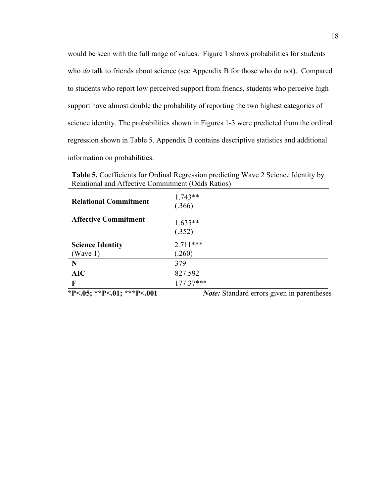would be seen with the full range of values. Figure 1 shows probabilities for students who *do* talk to friends about science (see Appendix B for those who do not). Compared to students who report low perceived support from friends, students who perceive high support have almost double the probability of reporting the two highest categories of science identity. The probabilities shown in Figures 1-3 were predicted from the ordinal regression shown in Table 5. Appendix B contains descriptive statistics and additional information on probabilities.

**Table 5.** Coefficients for Ordinal Regression predicting Wave 2 Science Identity by Relational and Affective Commitment (Odds Ratios)

| *P<.05; **P<.01; ***P<.001   | Note: Standard errors given in parentheses |
|------------------------------|--------------------------------------------|
| F                            | $177.37***$                                |
| AIC                          | 827.592                                    |
| N                            | 379                                        |
| (Wave 1)                     | (.260)                                     |
| <b>Science Identity</b>      | $2.711***$                                 |
|                              | (.352)                                     |
| <b>Affective Commitment</b>  | $1.635**$                                  |
| <b>Relational Commitment</b> | $1.743**$<br>(.366)                        |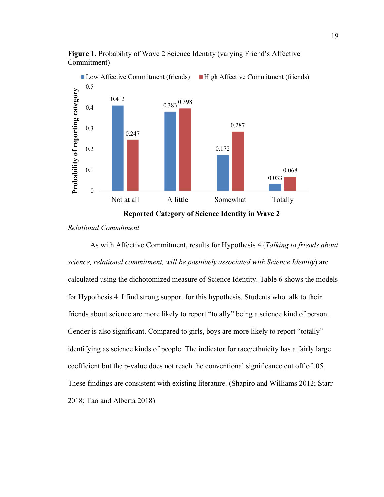

**Figure 1**. Probability of Wave 2 Science Identity (varying Friend's Affective Commitment)

**Reported Category of Science Identity in Wave 2**

#### *Relational Commitment*

As with Affective Commitment, results for Hypothesis 4 (*Talking to friends about science, relational commitment, will be positively associated with Science Identity*) are calculated using the dichotomized measure of Science Identity. Table 6 shows the models for Hypothesis 4. I find strong support for this hypothesis. Students who talk to their friends about science are more likely to report "totally" being a science kind of person. Gender is also significant. Compared to girls, boys are more likely to report "totally" identifying as science kinds of people. The indicator for race/ethnicity has a fairly large coefficient but the p-value does not reach the conventional significance cut off of .05. These findings are consistent with existing literature. (Shapiro and Williams 2012; Starr 2018; Tao and Alberta 2018)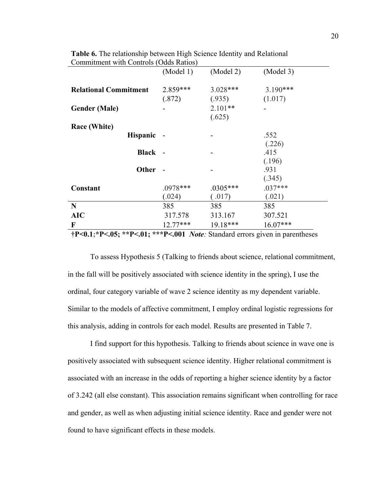| $\frac{1}{2}$                | (Model 1)            | (Model 2)            | (Model 3)             |
|------------------------------|----------------------|----------------------|-----------------------|
| <b>Relational Commitment</b> | $2.859***$<br>(.872) | $3.028***$<br>(.935) | $3.190***$<br>(1.017) |
| <b>Gender (Male)</b>         |                      | $2.101**$<br>(.625)  |                       |
| Race (White)                 |                      |                      |                       |
| Hispanic -                   |                      |                      | .552<br>(.226)        |
| Black -                      |                      |                      | .415<br>(.196)        |
| Other                        |                      |                      | .931<br>(.345)        |
| Constant                     | $.0978***$<br>(.024) | $.0305***$<br>(.017) | $.037***$<br>(.021)   |
| N                            | 385                  | 385                  | 385                   |
| <b>AIC</b>                   | 317.578              | 313.167              | 307.521               |
| F                            | $12.77***$           | 19.18***             | $16.07***$            |

**Table 6.** The relationship between High Science Identity and Relational Commitment with Controls (Odds Ratios)

**†P<0.1;\*P<.05; \*\*P<.01; \*\*\*P<.001** *Note:* Standard errors given in parentheses

To assess Hypothesis 5 (Talking to friends about science, relational commitment, in the fall will be positively associated with science identity in the spring), I use the ordinal, four category variable of wave 2 science identity as my dependent variable. Similar to the models of affective commitment, I employ ordinal logistic regressions for this analysis, adding in controls for each model. Results are presented in Table 7.

I find support for this hypothesis. Talking to friends about science in wave one is positively associated with subsequent science identity. Higher relational commitment is associated with an increase in the odds of reporting a higher science identity by a factor of 3.242 (all else constant). This association remains significant when controlling for race and gender, as well as when adjusting initial science identity. Race and gender were not found to have significant effects in these models.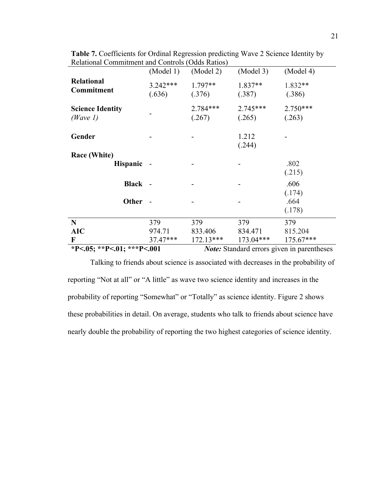|                                                                                 | (Model 1)            | (Model 2)          | (Model 3)            | (Model 4)            |
|---------------------------------------------------------------------------------|----------------------|--------------------|----------------------|----------------------|
| <b>Relational</b><br>Commitment                                                 | $3.242***$<br>(.636) | 1.797**<br>(.376)  | 1.837**<br>(.387)    | 1.832**<br>(.386)    |
| <b>Science Identity</b><br>(Wave 1)                                             |                      | 2.784***<br>(.267) | $2.745***$<br>(.265) | $2.750***$<br>(.263) |
| Gender                                                                          |                      |                    | 1.212<br>(.244)      |                      |
| Race (White)                                                                    |                      |                    |                      |                      |
| <b>Hispanic</b>                                                                 |                      |                    |                      | .802<br>(.215)       |
| <b>Black</b>                                                                    |                      |                    |                      | .606<br>(.174)       |
| Other                                                                           |                      |                    |                      | .664<br>(.178)       |
| N                                                                               | 379                  | 379                | 379                  | 379                  |
| <b>AIC</b>                                                                      | 974.71               | 833.406            | 834.471              | 815.204              |
| F                                                                               | 37.47***             | $172.13***$        | $173.04***$          | 175.67***            |
| *P<.05; **P<.01; ***P<.001<br><b>Note:</b> Standard errors given in parentheses |                      |                    |                      |                      |

**Table 7.** Coefficients for Ordinal Regression predicting Wave 2 Science Identity by Relational Commitment and Controls (Odds Ratios)

Talking to friends about science is associated with decreases in the probability of reporting "Not at all" or "A little" as wave two science identity and increases in the probability of reporting "Somewhat" or "Totally" as science identity. Figure 2 shows these probabilities in detail. On average, students who talk to friends about science have nearly double the probability of reporting the two highest categories of science identity.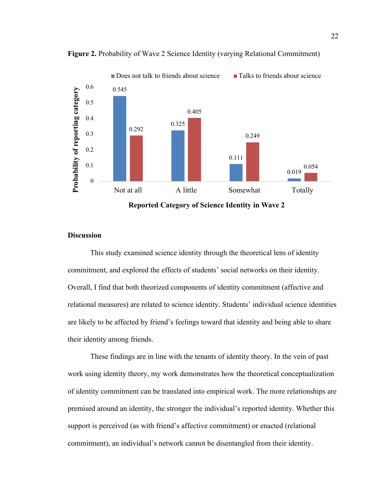

**Figure 2.** Probability of Wave 2 Science Identity (varying Relational Commitment)

#### **Discussion**

This study examined science identity through the theoretical lens of identity commitment, and explored the effects of students' social networks on their identity. Overall, I find that both theorized components of identity commitment (affective and relational measures) are related to science identity. Students' individual science identities are likely to be affected by friend's feelings toward that identity and being able to share their identity among friends.

These findings are in line with the tenants of identity theory. In the vein of past work using identity theory, my work demonstrates how the theoretical conceptualization of identity commitment can be translated into empirical work. The more relationships are premised around an identity, the stronger the individual's reported identity. Whether this support is perceived (as with friend's affective commitment) or enacted (relational commitment), an individual's network cannot be disentangled from their identity.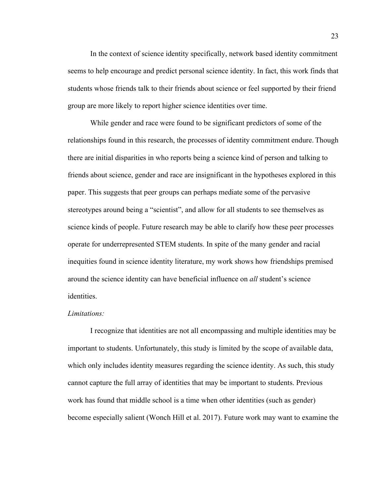In the context of science identity specifically, network based identity commitment seems to help encourage and predict personal science identity. In fact, this work finds that students whose friends talk to their friends about science or feel supported by their friend group are more likely to report higher science identities over time.

While gender and race were found to be significant predictors of some of the relationships found in this research, the processes of identity commitment endure. Though there are initial disparities in who reports being a science kind of person and talking to friends about science, gender and race are insignificant in the hypotheses explored in this paper. This suggests that peer groups can perhaps mediate some of the pervasive stereotypes around being a "scientist", and allow for all students to see themselves as science kinds of people. Future research may be able to clarify how these peer processes operate for underrepresented STEM students. In spite of the many gender and racial inequities found in science identity literature, my work shows how friendships premised around the science identity can have beneficial influence on *all* student's science identities.

#### *Limitations:*

I recognize that identities are not all encompassing and multiple identities may be important to students. Unfortunately, this study is limited by the scope of available data, which only includes identity measures regarding the science identity. As such, this study cannot capture the full array of identities that may be important to students. Previous work has found that middle school is a time when other identities (such as gender) become especially salient (Wonch Hill et al. 2017). Future work may want to examine the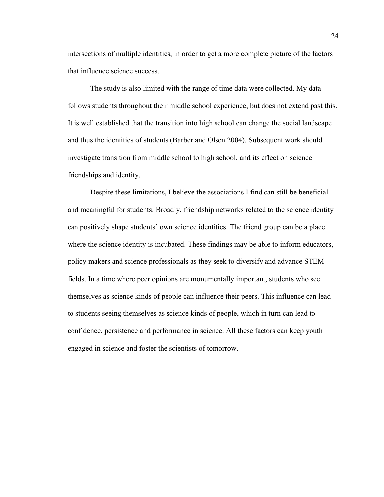intersections of multiple identities, in order to get a more complete picture of the factors that influence science success.

The study is also limited with the range of time data were collected. My data follows students throughout their middle school experience, but does not extend past this. It is well established that the transition into high school can change the social landscape and thus the identities of students (Barber and Olsen 2004). Subsequent work should investigate transition from middle school to high school, and its effect on science friendships and identity.

Despite these limitations, I believe the associations I find can still be beneficial and meaningful for students. Broadly, friendship networks related to the science identity can positively shape students' own science identities. The friend group can be a place where the science identity is incubated. These findings may be able to inform educators, policy makers and science professionals as they seek to diversify and advance STEM fields. In a time where peer opinions are monumentally important, students who see themselves as science kinds of people can influence their peers. This influence can lead to students seeing themselves as science kinds of people, which in turn can lead to confidence, persistence and performance in science. All these factors can keep youth engaged in science and foster the scientists of tomorrow.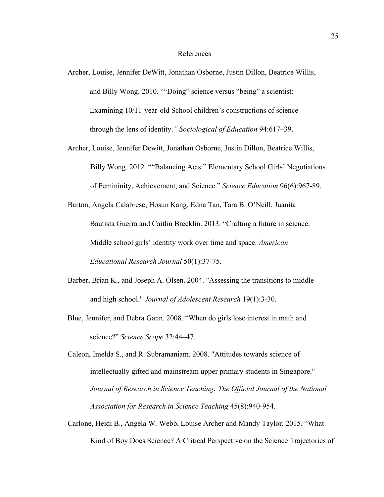#### References

- Archer, Louise, Jennifer DeWitt, Jonathan Osborne, Justin Dillon, Beatrice Willis, and Billy Wong. 2010. ""Doing" science versus "being" a scientist: Examining 10/11-year-old School children's constructions of science through the lens of identity.*" Sociological of Education* 94:617–39.
- Archer, Louise, Jennifer Dewitt, Jonathan Osborne, Justin Dillon, Beatrice Willis, Billy Wong. 2012. ""Balancing Acts:" Elementary School Girls' Negotiations of Femininity, Achievement, and Science." *Science Education* 96(6):967-89.
- Barton, Angela Calabrese, Hosun Kang, Edna Tan, Tara B. O'Neill, Juanita Bautista Guerra and Caitlin Brecklin. 2013. "Crafting a future in science: Middle school girls' identity work over time and space. *American Educational Research Journal* 50(1):37-75.
- Barber, Brian K., and Joseph A. Olsen. 2004. "Assessing the transitions to middle and high school." *Journal of Adolescent Research* 19(1):3-30.
- Blue, Jennifer, and Debra Gann. 2008. "When do girls lose interest in math and science?" *Science Scope* 32:44–47.
- Caleon, Imelda S., and R. Subramaniam. 2008. "Attitudes towards science of intellectually gifted and mainstream upper primary students in Singapore." *Journal of Research in Science Teaching: The Official Journal of the National Association for Research in Science Teaching* 45(8):940-954.
- Carlone, Heidi B., Angela W. Webb, Louise Archer and Mandy Taylor. 2015. "What Kind of Boy Does Science? A Critical Perspective on the Science Trajectories of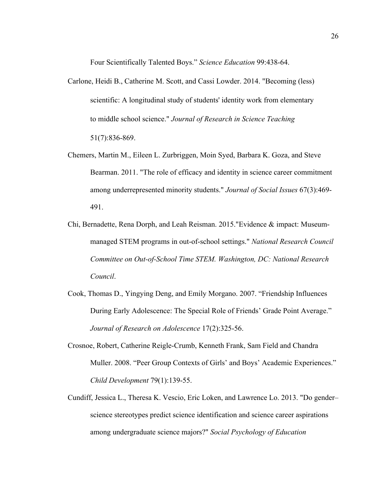Four Scientifically Talented Boys." *Science Education* 99:438-64.

- Carlone, Heidi B., Catherine M. Scott, and Cassi Lowder. 2014. "Becoming (less) scientific: A longitudinal study of students' identity work from elementary to middle school science." *Journal of Research in Science Teaching*  51(7):836-869.
- Chemers, Martin M., Eileen L. Zurbriggen, Moin Syed, Barbara K. Goza, and Steve Bearman. 2011. "The role of efficacy and identity in science career commitment among underrepresented minority students." *Journal of Social Issues* 67(3):469- 491.
- Chi, Bernadette, Rena Dorph, and Leah Reisman. 2015."Evidence & impact: Museummanaged STEM programs in out-of-school settings." *National Research Council Committee on Out-of-School Time STEM. Washington, DC: National Research Council*.
- Cook, Thomas D., Yingying Deng, and Emily Morgano. 2007. "Friendship Influences During Early Adolescence: The Special Role of Friends' Grade Point Average." *Journal of Research on Adolescence* 17(2):325-56.
- Crosnoe, Robert, Catherine Reigle-Crumb, Kenneth Frank, Sam Field and Chandra Muller. 2008. "Peer Group Contexts of Girls' and Boys' Academic Experiences." *Child Development* 79(1):139-55.
- Cundiff, Jessica L., Theresa K. Vescio, Eric Loken, and Lawrence Lo. 2013. "Do gender– science stereotypes predict science identification and science career aspirations among undergraduate science majors?" *Social Psychology of Education*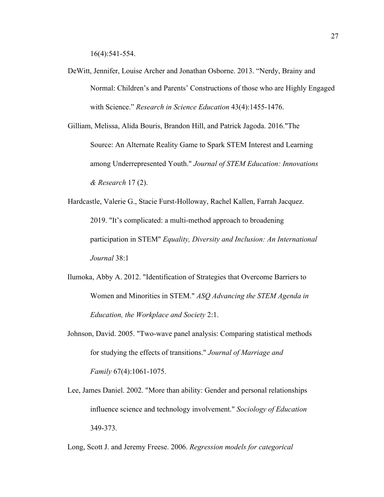16(4):541-554.

DeWitt, Jennifer, Louise Archer and Jonathan Osborne. 2013. "Nerdy, Brainy and Normal: Children's and Parents' Constructions of those who are Highly Engaged with Science." *Research in Science Education* 43(4):1455-1476.

Gilliam, Melissa, Alida Bouris, Brandon Hill, and Patrick Jagoda. 2016."The Source: An Alternate Reality Game to Spark STEM Interest and Learning among Underrepresented Youth." *Journal of STEM Education: Innovations & Research* 17 (2).

Hardcastle, Valerie G., Stacie Furst-Holloway, Rachel Kallen, Farrah Jacquez. 2019. "It's complicated: a multi-method approach to broadening participation in STEM" *Equality, Diversity and Inclusion: An International Journal* 38:1

- Ilumoka, Abby A. 2012. "Identification of Strategies that Overcome Barriers to Women and Minorities in STEM." *ASQ Advancing the STEM Agenda in Education, the Workplace and Society* 2:1.
- Johnson, David. 2005. "Two‐wave panel analysis: Comparing statistical methods for studying the effects of transitions." *Journal of Marriage and Family* 67(4):1061-1075.
- Lee, James Daniel. 2002. "More than ability: Gender and personal relationships influence science and technology involvement." *Sociology of Education*  349-373.

Long, Scott J. and Jeremy Freese. 2006. *Regression models for categorical*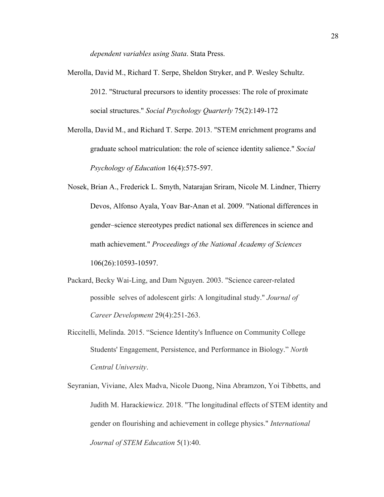*dependent variables using Stata*. Stata Press.

- Merolla, David M., Richard T. Serpe, Sheldon Stryker, and P. Wesley Schultz. 2012. "Structural precursors to identity processes: The role of proximate social structures." *Social Psychology Quarterly* 75(2):149-172
- Merolla, David M., and Richard T. Serpe. 2013. "STEM enrichment programs and graduate school matriculation: the role of science identity salience." *Social Psychology of Education* 16(4):575-597.
- Nosek, Brian A., Frederick L. Smyth, Natarajan Sriram, Nicole M. Lindner, Thierry Devos, Alfonso Ayala, Yoav Bar-Anan et al. 2009. "National differences in gender–science stereotypes predict national sex differences in science and math achievement." *Proceedings of the National Academy of Sciences* 106(26):10593-10597.
- Packard, Becky Wai-Ling, and Dam Nguyen. 2003. "Science career-related possible selves of adolescent girls: A longitudinal study." *Journal of Career Development* 29(4):251-263.
- Riccitelli, Melinda. 2015. "Science Identity's Influence on Community College Students' Engagement, Persistence, and Performance in Biology." *North Central University*.
- Seyranian, Viviane, Alex Madva, Nicole Duong, Nina Abramzon, Yoi Tibbetts, and Judith M. Harackiewicz. 2018. "The longitudinal effects of STEM identity and gender on flourishing and achievement in college physics." *International Journal of STEM Education* 5(1):40.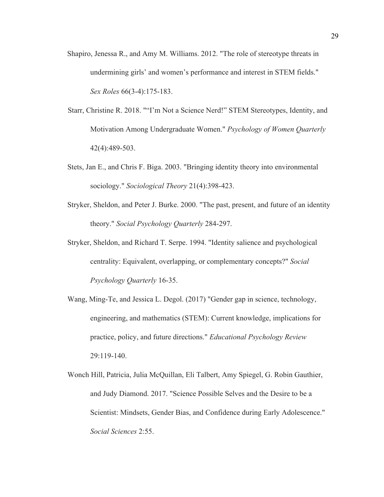- Shapiro, Jenessa R., and Amy M. Williams. 2012. "The role of stereotype threats in undermining girls' and women's performance and interest in STEM fields." *Sex Roles* 66(3-4):175-183.
- Starr, Christine R. 2018. ""I'm Not a Science Nerd!" STEM Stereotypes, Identity, and Motivation Among Undergraduate Women." *Psychology of Women Quarterly* 42(4):489-503.
- Stets, Jan E., and Chris F. Biga. 2003. "Bringing identity theory into environmental sociology." *Sociological Theory* 21(4):398-423.
- Stryker, Sheldon, and Peter J. Burke. 2000. "The past, present, and future of an identity theory." *Social Psychology Quarterly* 284-297.
- Stryker, Sheldon, and Richard T. Serpe. 1994. "Identity salience and psychological centrality: Equivalent, overlapping, or complementary concepts?" *Social Psychology Quarterly* 16-35.
- Wang, Ming-Te, and Jessica L. Degol. (2017) "Gender gap in science, technology, engineering, and mathematics (STEM): Current knowledge, implications for practice, policy, and future directions." *Educational Psychology Review* 29:119-140.
- Wonch Hill, Patricia, Julia McQuillan, Eli Talbert, Amy Spiegel, G. Robin Gauthier, and Judy Diamond. 2017. "Science Possible Selves and the Desire to be a Scientist: Mindsets, Gender Bias, and Confidence during Early Adolescence." *Social Sciences* 2:55.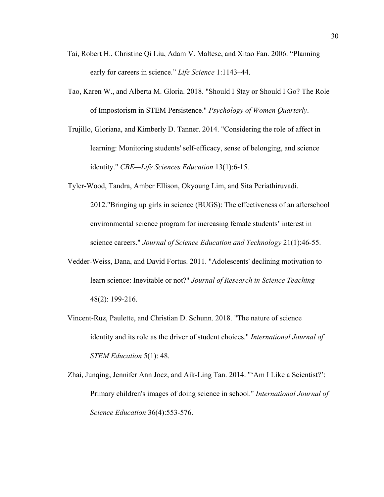- Tai, Robert H., Christine Qi Liu, Adam V. Maltese, and Xitao Fan. 2006. "Planning early for careers in science." *Life Science* 1:1143–44.
- Tao, Karen W., and Alberta M. Gloria. 2018. "Should I Stay or Should I Go? The Role of Impostorism in STEM Persistence." *Psychology of Women Quarterly*.
- Trujillo, Gloriana, and Kimberly D. Tanner. 2014. "Considering the role of affect in learning: Monitoring students' self-efficacy, sense of belonging, and science identity." *CBE—Life Sciences Education* 13(1):6-15.
- Tyler-Wood, Tandra, Amber Ellison, Okyoung Lim, and Sita Periathiruvadi. 2012."Bringing up girls in science (BUGS): The effectiveness of an afterschool environmental science program for increasing female students' interest in science careers." *Journal of Science Education and Technology* 21(1):46-55.
- Vedder‐Weiss, Dana, and David Fortus. 2011. "Adolescents' declining motivation to learn science: Inevitable or not?" *Journal of Research in Science Teaching* 48(2): 199-216.
- Vincent-Ruz, Paulette, and Christian D. Schunn. 2018. "The nature of science identity and its role as the driver of student choices." *International Journal of STEM Education* 5(1): 48.
- Zhai, Junqing, Jennifer Ann Jocz, and Aik-Ling Tan. 2014. "'Am I Like a Scientist?': Primary children's images of doing science in school." *International Journal of Science Education* 36(4):553-576.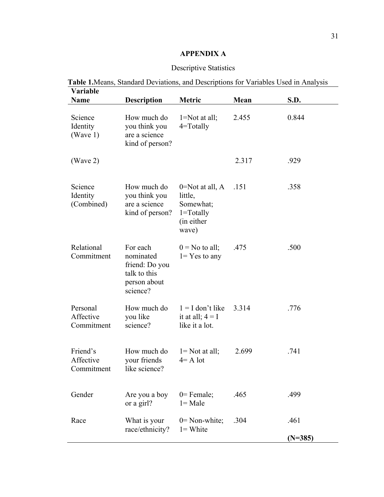# **APPENDIX A**

# Descriptive Statistics

| <b>Variable</b>                     |                                                                                     |                                                                                      |       |           |
|-------------------------------------|-------------------------------------------------------------------------------------|--------------------------------------------------------------------------------------|-------|-----------|
| Name                                | <b>Description</b>                                                                  | Metric                                                                               | Mean  | S.D.      |
| Science<br>Identity<br>(Wave 1)     | How much do<br>you think you<br>are a science<br>kind of person?                    | $1 = Not$ at all;<br>$4 = Totally$                                                   | 2.455 | 0.844     |
| (Wave 2)                            |                                                                                     |                                                                                      | 2.317 | .929      |
| Science<br>Identity<br>(Combined)   | How much do<br>you think you<br>are a science<br>kind of person?                    | $0 = Not$ at all, A<br>little,<br>Somewhat;<br>$1 = Totally$<br>(in either)<br>wave) | .151  | .358      |
| Relational<br>Commitment            | For each<br>nominated<br>friend: Do you<br>talk to this<br>person about<br>science? | $0 =$ No to all;<br>$1 = Yes$ to any                                                 | .475  | .500      |
| Personal<br>Affective<br>Commitment | How much do<br>you like<br>science?                                                 | $1 = I$ don't like<br>it at all; $4 = I$<br>like it a lot.                           | 3.314 | .776      |
| Friend's<br>Affective<br>Commitment | How much do<br>your friends<br>like science?                                        | $l = Not$ at all;<br>$4 = A$ lot                                                     | 2.699 | .741      |
| Gender                              | Are you a boy<br>or a girl?                                                         | $0$ = Female;<br>$l = Male$                                                          | .465  | .499      |
| Race                                | What is your<br>race/ethnicity?                                                     | $0 = \text{Non-white};$<br>$l = White$                                               | .304  | .461      |
|                                     |                                                                                     |                                                                                      |       | $(N=385)$ |

# **Table 1.**Means, Standard Deviations, and Descriptions for Variables Used in Analysis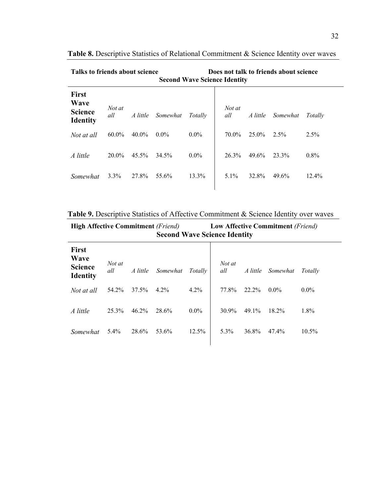| Talks to friends about science<br><b>Second Wave Science Identity</b> |               |          |          |         |               | Does not talk to friends about science |          |          |
|-----------------------------------------------------------------------|---------------|----------|----------|---------|---------------|----------------------------------------|----------|----------|
| <b>First</b><br><b>Wave</b><br><b>Science</b><br><b>Identity</b>      | Not at<br>all | A little | Somewhat | Totally | Not at<br>all | A little                               | Somewhat | Totally  |
| Not at all                                                            | $60.0\%$      | $40.0\%$ | $0.0\%$  | $0.0\%$ | 70.0%         | $25.0\%$                               | 2.5%     | $2.5\%$  |
| A little                                                              | 20.0%         | 45.5%    | 34.5%    | $0.0\%$ | 26.3%         | 49.6%                                  | 23.3%    | $0.8\%$  |
| Somewhat                                                              | $3.3\%$       | 27.8%    | 55.6%    | 13.3%   | $5.1\%$       | 32.8%                                  | 49.6%    | $12.4\%$ |

**Table 8.** Descriptive Statistics of Relational Commitment & Science Identity over waves

**Table 9.** Descriptive Statistics of Affective Commitment & Science Identity over waves

**High Affective Commitment** *(Friend)* **Low Affective Commitment** *(Friend)* **Second Wave Science Identity First Wave Science Identity**  *Not at all A little Somewhat Totally Not at all A little Somewhat Totally Not at all* 54.2% 37.5% 4.2% 4.2% | 77.8% 22.2% 0.0% 0.0% *A little* 25.3% 46.2% 28.6% 0.0% 30.9% 49.1% 18.2% 1.8% *Somewhat* 5.4% 28.6% 53.6% 12.5% 5.3% 36.8% 47.4% 10.5%